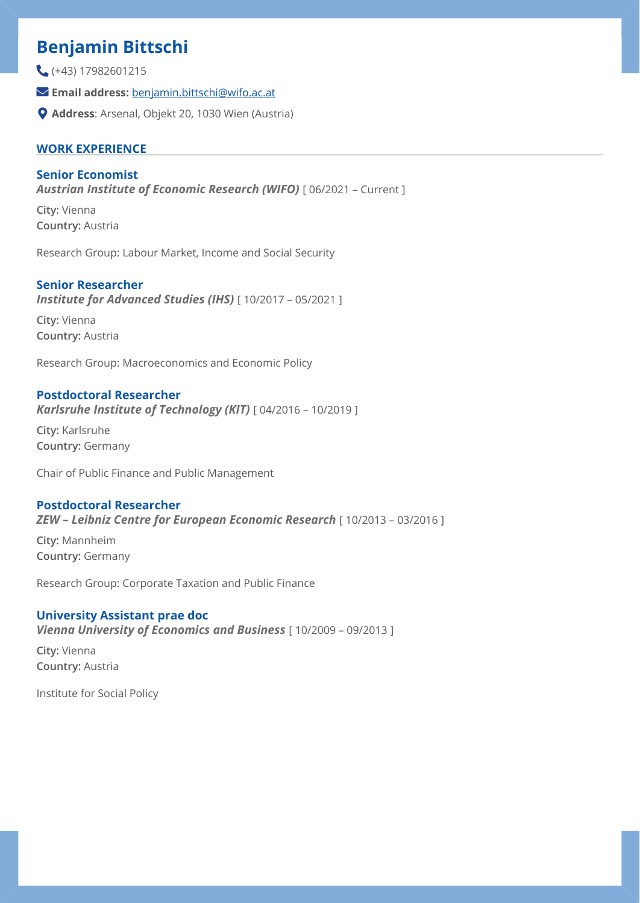# **Benjamin Bittschi**

(+43) 17982601215

- **Email address:** [benjamin.bittschi@wifo.ac.at](mailto:benjamin.bittschi@wifo.ac.at)
- **Address**: Arsenal, Objekt 20, 1030 Wien (Austria)

# **WORK EXPERIENCE**

## **Senior Economist**

**Austrian Institute of Economic Research (WIFO)** [ 06/2021 - Current ]

**City:** Vienna **Country:** Austria

Research Group: Labour Market, Income and Social Security

# **Senior Researcher**

*Institute for Advanced Studies (IHS)* [ 10/2017 – 05/2021 ]

**City:** Vienna **Country:** Austria

Research Group: Macroeconomics and Economic Policy

## **Postdoctoral Researcher**

*Karlsruhe Institute of Technology (KIT)* [ 04/2016 – 10/2019 ]

**City:** Karlsruhe **Country:** Germany

Chair of Public Finance and Public Management

## **Postdoctoral Researcher**

*ZEW – Leibniz Centre for European Economic Research* [ 10/2013 – 03/2016 ]

**City:** Mannheim **Country:** Germany

Research Group: Corporate Taxation and Public Finance

#### **University Assistant prae doc**

*Vienna University of Economics and Business* [ 10/2009 – 09/2013 ]

**City:** Vienna **Country:** Austria

Institute for Social Policy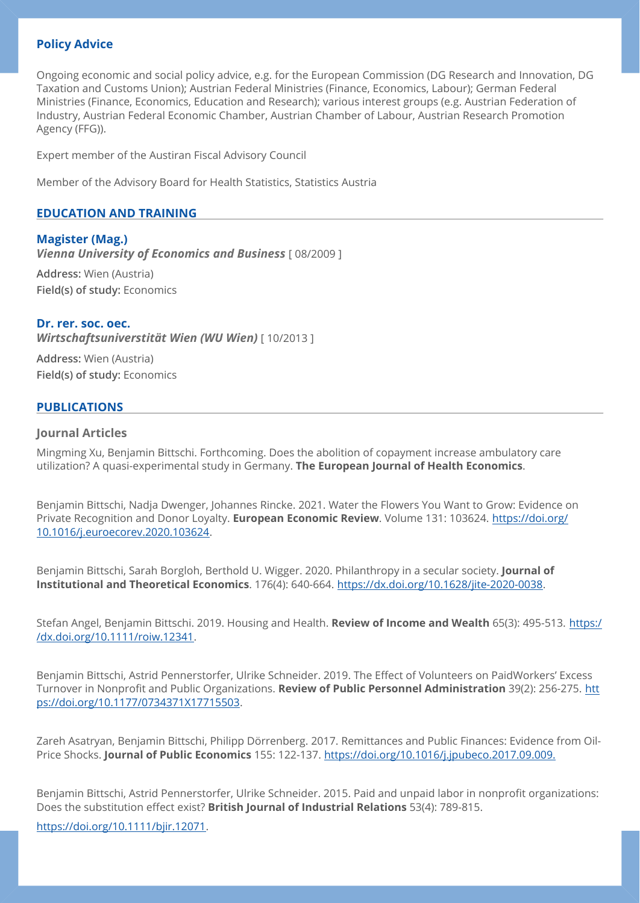# **Policy Advice**

Ongoing economic and social policy advice, e.g. for the European Commission (DG Research and Innovation, DG Taxation and Customs Union); Austrian Federal Ministries (Finance, Economics, Labour); German Federal Ministries (Finance, Economics, Education and Research); various interest groups (e.g. Austrian Federation of Industry, Austrian Federal Economic Chamber, Austrian Chamber of Labour, Austrian Research Promotion Agency (FFG)).

Expert member of the Austiran Fiscal Advisory Council

Member of the Advisory Board for Health Statistics, Statistics Austria

### **EDUCATION AND TRAINING**

#### **Magister (Mag.)**

*Vienna University of Economics and Business* [ 08/2009 ]

**Address:** Wien (Austria) **Field(s) of study:** Economics

#### **Dr. rer. soc. oec.**

*Wirtschaftsuniverstität Wien (WU Wien)* [ 10/2013 ]

**Address:** Wien (Austria) **Field(s) of study:** Economics

#### **PUBLICATIONS**

#### **Journal Articles**

Mingming Xu, Benjamin Bittschi. Forthcoming. Does the abolition of copayment increase ambulatory care utilization? A quasi-experimental study in Germany. **The European Journal of Health Economics**.

Benjamin Bittschi, Nadja Dwenger, Johannes Rincke. 2021. Water the Flowers You Want to Grow: Evidence on Private Recognition and Donor Loyalty. **European Economic Review**. Volume 131: 103624. [https://doi.org/](https://doi.org/10.1016/j.euroecorev.2020.103624) [10.1016/j.euroecorev.2020.103624.](https://doi.org/10.1016/j.euroecorev.2020.103624)

Benjamin Bittschi, Sarah Borgloh, Berthold U. Wigger. 2020. Philanthropy in a secular society. **Journal of Institutional and Theoretical Economics**. 176(4): 640-664. <https://dx.doi.org/10.1628/jite-2020-0038>.

Stefan Angel, Benjamin Bittschi. 2019. Housing and Health. **Review of Income and Wealth** 65(3): 495-513. [https:/](http://dx.doi.org/10.1111/roiw.12341) [/dx.doi.org/10.1111/roiw.12341](http://dx.doi.org/10.1111/roiw.12341).

Benjamin Bittschi, Astrid Pennerstorfer, Ulrike Schneider. 2019. The Effect of Volunteers on PaidWorkers' Excess Turnover in Nonprofit and Public Organizations. **Review of Public Personnel Administration** 39(2): 256-275. [htt](https://doi.org/10.1177/0734371X17715503) [ps://doi.org/10.1177/0734371X17715503](https://doi.org/10.1177/0734371X17715503).

Zareh Asatryan, Benjamin Bittschi, Philipp Dörrenberg. 2017. Remittances and Public Finances: Evidence from Oil-Price Shocks. **Journal of Public Economics** 155: 122-137. <https://doi.org/10.1016/j.jpubeco.2017.09.009.>

Benjamin Bittschi, Astrid Pennerstorfer, Ulrike Schneider. 2015. Paid and unpaid labor in nonprofit organizations: Does the substitution effect exist? **British Journal of Industrial Relations** 53(4): 789-815.

<https://doi.org/10.1111/bjir.12071>.